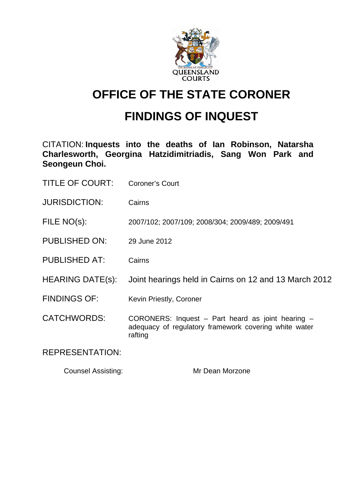

# **OFFICE OF THE STATE CORONER**

# **FINDINGS OF INQUEST**

CITATION: **Inquests into the deaths of Ian Robinson, Natarsha Charlesworth, Georgina Hatzidimitriadis, Sang Won Park and Seongeun Choi.** 

| <b>TITLE OF COURT:</b> | <b>Coroner's Court</b> |
|------------------------|------------------------|
|------------------------|------------------------|

- JURISDICTION: Cairns
- FILE NO(s): 2007/102; 2007/109; 2008/304; 2009/489; 2009/491
- PUBLISHED ON: 29 June 2012
- PUBLISHED AT: Cairns
- HEARING DATE(s): Joint hearings held in Cairns on 12 and 13 March 2012
- FINDINGS OF: Kevin Priestly, Coroner
- CATCHWORDS: CORONERS: Inquest Part heard as joint hearing adequacy of regulatory framework covering white water rafting

REPRESENTATION:

Counsel Assisting: Mr Dean Morzone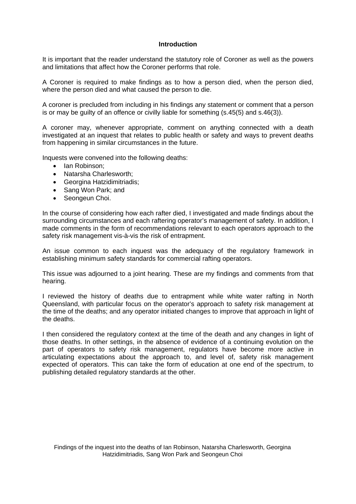#### **Introduction**

It is important that the reader understand the statutory role of Coroner as well as the powers and limitations that affect how the Coroner performs that role.

A Coroner is required to make findings as to how a person died, when the person died, where the person died and what caused the person to die.

A coroner is precluded from including in his findings any statement or comment that a person is or may be guilty of an offence or civilly liable for something (s.45(5) and s.46(3)).

A coroner may, whenever appropriate, comment on anything connected with a death investigated at an inquest that relates to public health or safety and ways to prevent deaths from happening in similar circumstances in the future.

Inquests were convened into the following deaths:

- Ian Robinson;
- Natarsha Charlesworth;
- Georgina Hatzidimitriadis;
- Sang Won Park: and
- Seongeun Choi.

In the course of considering how each rafter died, I investigated and made findings about the surrounding circumstances and each raftering operator's management of safety. In addition, I made comments in the form of recommendations relevant to each operators approach to the safety risk management vis-à-vis the risk of entrapment.

An issue common to each inquest was the adequacy of the regulatory framework in establishing minimum safety standards for commercial rafting operators.

This issue was adjourned to a joint hearing. These are my findings and comments from that hearing.

I reviewed the history of deaths due to entrapment while white water rafting in North Queensland, with particular focus on the operator's approach to safety risk management at the time of the deaths; and any operator initiated changes to improve that approach in light of the deaths.

I then considered the regulatory context at the time of the death and any changes in light of those deaths. In other settings, in the absence of evidence of a continuing evolution on the part of operators to safety risk management, regulators have become more active in articulating expectations about the approach to, and level of, safety risk management expected of operators. This can take the form of education at one end of the spectrum, to publishing detailed regulatory standards at the other.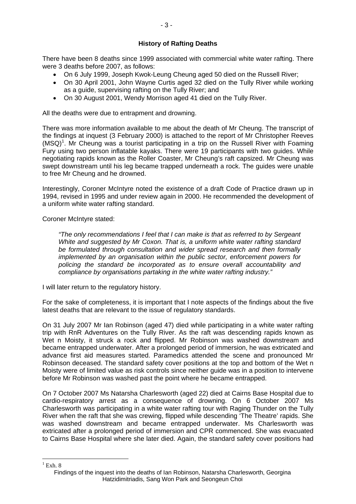There have been 8 deaths since 1999 associated with commercial white water rafting. There were 3 deaths before 2007, as follows:

- On 6 July 1999, Joseph Kwok-Leung Cheung aged 50 died on the Russell River;
- On 30 April 2001, John Wayne Curtis aged 32 died on the Tully River while working as a guide, supervising rafting on the Tully River; and
- On 30 August 2001, Wendy Morrison aged 41 died on the Tully River.

All the deaths were due to entrapment and drowning.

There was more information available to me about the death of Mr Cheung. The transcript of the findings at inquest (3 February 2000) is attached to the report of Mr Christopher Reeves (MSQ)<sup>1</sup>. Mr Cheung was a tourist participating in a trip on the Russell River with Foaming Fury using two person inflatable kayaks. There were 19 participants with two guides. While negotiating rapids known as the Roller Coaster, Mr Cheung's raft capsized. Mr Cheung was swept downstream until his leg became trapped underneath a rock. The guides were unable to free Mr Cheung and he drowned.

Interestingly, Coroner McIntyre noted the existence of a draft Code of Practice drawn up in 1994, revised in 1995 and under review again in 2000. He recommended the development of a uniform white water rafting standard.

Coroner McIntyre stated:

*"The only recommendations I feel that I can make is that as referred to by Sergeant White and suggested by Mr Coxon. That is, a uniform white water rafting standard be formulated through consultation and wider spread research and then formally implemented by an organisation within the public sector, enforcement powers for policing the standard be incorporated as to ensure overall accountability and compliance by organisations partaking in the white water rafting industry."* 

I will later return to the regulatory history.

For the sake of completeness, it is important that I note aspects of the findings about the five latest deaths that are relevant to the issue of regulatory standards.

On 31 July 2007 Mr Ian Robinson (aged 47) died while participating in a white water rafting trip with RnR Adventures on the Tully River. As the raft was descending rapids known as Wet n Moisty, it struck a rock and flipped. Mr Robinson was washed downstream and became entrapped underwater. After a prolonged period of immersion, he was extricated and advance first aid measures started. Paramedics attended the scene and pronounced Mr Robinson deceased. The standard safety cover positions at the top and bottom of the Wet n Moisty were of limited value as risk controls since neither guide was in a position to intervene before Mr Robinson was washed past the point where he became entrapped.

On 7 October 2007 Ms Natarsha Charlesworth (aged 22) died at Cairns Base Hospital due to cardio-respiratory arrest as a consequence of drowning. On 6 October 2007 Ms Charlesworth was participating in a white water rafting tour with Raging Thunder on the Tully River when the raft that she was crewing, flipped while descending 'The Theatre' rapids. She was washed downstream and became entrapped underwater. Ms Charlesworth was extricated after a prolonged period of immersion and CPR commenced. She was evacuated to Cairns Base Hospital where she later died. Again, the standard safety cover positions had

 $<sup>1</sup>$  Exh. 8</sup>

<u>.</u>

Findings of the inquest into the deaths of Ian Robinson, Natarsha Charlesworth, Georgina Hatzidimitriadis, Sang Won Park and Seongeun Choi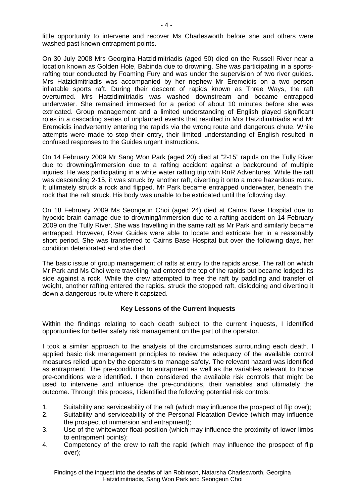- 4 -

On 30 July 2008 Mrs Georgina Hatzidimitriadis (aged 50) died on the Russell River near a location known as Golden Hole, Babinda due to drowning. She was participating in a sportsrafting tour conducted by Foaming Fury and was under the supervision of two river guides. Mrs Hatzidimitriadis was accompanied by her nephew Mr Eremeidis on a two person inflatable sports raft. During their descent of rapids known as Three Ways, the raft overturned. Mrs Hatzidimitriadis was washed downstream and became entrapped underwater. She remained immersed for a period of about 10 minutes before she was extricated. Group management and a limited understanding of English played significant roles in a cascading series of unplanned events that resulted in Mrs Hatzidimitriadis and Mr Eremeidis inadvertently entering the rapids via the wrong route and dangerous chute. While attempts were made to stop their entry, their limited understanding of English resulted in confused responses to the Guides urgent instructions.

On 14 February 2009 Mr Sang Won Park (aged 20) died at "2-15" rapids on the Tully River due to drowning/immersion due to a rafting accident against a background of multiple injuries. He was participating in a white water rafting trip with RnR Adventures. While the raft was descending 2-15, it was struck by another raft, diverting it onto a more hazardous route. It ultimately struck a rock and flipped. Mr Park became entrapped underwater, beneath the rock that the raft struck. His body was unable to be extricated until the following day.

On 18 February 2009 Ms Seongeun Choi (aged 24) died at Cairns Base Hospital due to hypoxic brain damage due to drowning/immersion due to a rafting accident on 14 February 2009 on the Tully River. She was travelling in the same raft as Mr Park and similarly became entrapped. However, River Guides were able to locate and extricate her in a reasonably short period. She was transferred to Cairns Base Hospital but over the following days, her condition deteriorated and she died.

The basic issue of group management of rafts at entry to the rapids arose. The raft on which Mr Park and Ms Choi were travelling had entered the top of the rapids but became lodged; its side against a rock. While the crew attempted to free the raft by paddling and transfer of weight, another rafting entered the rapids, struck the stopped raft, dislodging and diverting it down a dangerous route where it capsized.

## **Key Lessons of the Current Inquests**

Within the findings relating to each death subject to the current inquests, I identified opportunities for better safety risk management on the part of the operator.

I took a similar approach to the analysis of the circumstances surrounding each death. I applied basic risk management principles to review the adequacy of the available control measures relied upon by the operators to manage safety. The relevant hazard was identified as entrapment. The pre-conditions to entrapment as well as the variables relevant to those pre-conditions were identified. I then considered the available risk controls that might be used to intervene and influence the pre-conditions, their variables and ultimately the outcome. Through this process, I identified the following potential risk controls:

- 1. Suitability and serviceability of the raft (which may influence the prospect of flip over);
- 2. Suitability and serviceability of the Personal Floatation Device (which may influence the prospect of immersion and entrapment);
- 3. Use of the whitewater float-position (which may influence the proximity of lower limbs to entrapment points);
- 4. Competency of the crew to raft the rapid (which may influence the prospect of flip over);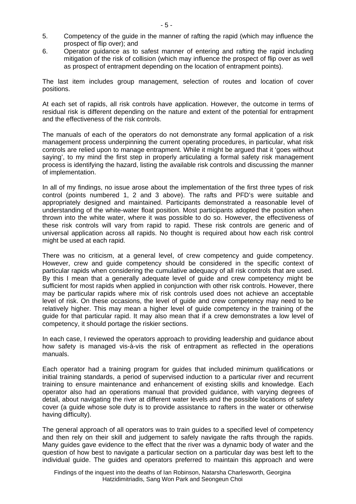- 5. Competency of the guide in the manner of rafting the rapid (which may influence the prospect of flip over); and
- 6. Operator guidance as to safest manner of entering and rafting the rapid including mitigation of the risk of collision (which may influence the prospect of flip over as well as prospect of entrapment depending on the location of entrapment points).

The last item includes group management, selection of routes and location of cover positions.

At each set of rapids, all risk controls have application. However, the outcome in terms of residual risk is different depending on the nature and extent of the potential for entrapment and the effectiveness of the risk controls.

The manuals of each of the operators do not demonstrate any formal application of a risk management process underpinning the current operating procedures, in particular, what risk controls are relied upon to manage entrapment. While it might be argued that it 'goes without saying', to my mind the first step in properly articulating a formal safety risk management process is identifying the hazard, listing the available risk controls and discussing the manner of implementation.

In all of my findings, no issue arose about the implementation of the first three types of risk control (points numbered 1, 2 and 3 above). The rafts and PFD's were suitable and appropriately designed and maintained. Participants demonstrated a reasonable level of understanding of the white-water float position. Most participants adopted the position when thrown into the white water, where it was possible to do so. However, the effectiveness of these risk controls will vary from rapid to rapid. These risk controls are generic and of universal application across all rapids. No thought is required about how each risk control might be used at each rapid.

There was no criticism, at a general level, of crew competency and guide competency. However, crew and guide competency should be considered in the specific context of particular rapids when considering the cumulative adequacy of all risk controls that are used. By this I mean that a generally adequate level of guide and crew competency might be sufficient for most rapids when applied in conjunction with other risk controls. However, there may be particular rapids where mix of risk controls used does not achieve an acceptable level of risk. On these occasions, the level of guide and crew competency may need to be relatively higher. This may mean a higher level of guide competency in the training of the guide for that particular rapid. It may also mean that if a crew demonstrates a low level of competency, it should portage the riskier sections.

In each case, I reviewed the operators approach to providing leadership and guidance about how safety is managed vis-à-vis the risk of entrapment as reflected in the operations manuals.

Each operator had a training program for guides that included minimum qualifications or initial training standards, a period of supervised induction to a particular river and recurrent training to ensure maintenance and enhancement of existing skills and knowledge. Each operator also had an operations manual that provided guidance, with varying degrees of detail, about navigating the river at different water levels and the possible locations of safety cover (a guide whose sole duty is to provide assistance to rafters in the water or otherwise having difficulty).

The general approach of all operators was to train guides to a specified level of competency and then rely on their skill and judgement to safely navigate the rafts through the rapids. Many guides gave evidence to the effect that the river was a dynamic body of water and the question of how best to navigate a particular section on a particular day was best left to the individual guide. The guides and operators preferred to maintain this approach and were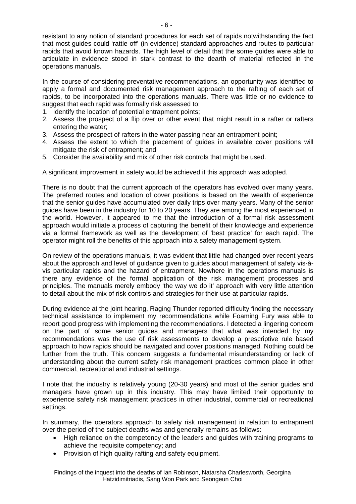resistant to any notion of standard procedures for each set of rapids notwithstanding the fact that most guides could 'rattle off' (in evidence) standard approaches and routes to particular rapids that avoid known hazards. The high level of detail that the some guides were able to articulate in evidence stood in stark contrast to the dearth of material reflected in the operations manuals.

In the course of considering preventative recommendations, an opportunity was identified to apply a formal and documented risk management approach to the rafting of each set of rapids, to be incorporated into the operations manuals. There was little or no evidence to suggest that each rapid was formally risk assessed to:

- 1. Identify the location of potential entrapment points;
- 2. Assess the prospect of a flip over or other event that might result in a rafter or rafters entering the water;
- 3. Assess the prospect of rafters in the water passing near an entrapment point;
- 4. Assess the extent to which the placement of guides in available cover positions will mitigate the risk of entrapment; and
- 5. Consider the availability and mix of other risk controls that might be used.

A significant improvement in safety would be achieved if this approach was adopted.

There is no doubt that the current approach of the operators has evolved over many years. The preferred routes and location of cover positions is based on the wealth of experience that the senior guides have accumulated over daily trips over many years. Many of the senior guides have been in the industry for 10 to 20 years. They are among the most experienced in the world. However, it appeared to me that the introduction of a formal risk assessment approach would initiate a process of capturing the benefit of their knowledge and experience via a formal framework as well as the development of 'best practice' for each rapid. The operator might roll the benefits of this approach into a safety management system.

On review of the operations manuals, it was evident that little had changed over recent years about the approach and level of guidance given to guides about management of safety vis-àvis particular rapids and the hazard of entrapment. Nowhere in the operations manuals is there any evidence of the formal application of the risk management processes and principles. The manuals merely embody 'the way we do it' approach with very little attention to detail about the mix of risk controls and strategies for their use at particular rapids.

During evidence at the joint hearing, Raging Thunder reported difficulty finding the necessary technical assistance to implement my recommendations while Foaming Fury was able to report good progress with implementing the recommendations. I detected a lingering concern on the part of some senior guides and managers that what was intended by my recommendations was the use of risk assessments to develop a prescriptive rule based approach to how rapids should be navigated and cover positions managed. Nothing could be further from the truth. This concern suggests a fundamental misunderstanding or lack of understanding about the current safety risk management practices common place in other commercial, recreational and industrial settings.

I note that the industry is relatively young (20-30 years) and most of the senior guides and managers have grown up in this industry. This may have limited their opportunity to experience safety risk management practices in other industrial, commercial or recreational settings.

In summary, the operators approach to safety risk management in relation to entrapment over the period of the subject deaths was and generally remains as follows:

- High reliance on the competency of the leaders and guides with training programs to achieve the requisite competency; and
- Provision of high quality rafting and safety equipment.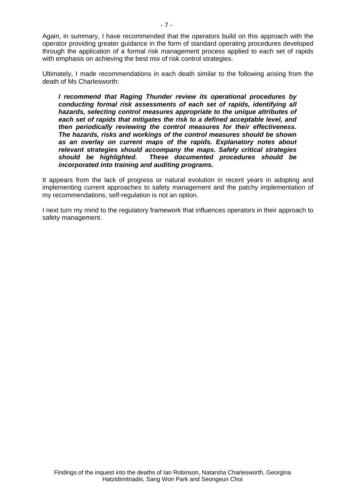Again, in summary, I have recommended that the operators build on this approach with the operator providing greater guidance in the form of standard operating procedures developed through the application of a formal risk management process applied to each set of rapids with emphasis on achieving the best mix of risk control strategies.

Ultimately, I made recommendations in each death similar to the following arising from the death of Ms Charlesworth:

*I recommend that Raging Thunder review its operational procedures by conducting formal risk assessments of each set of rapids, identifying all hazards, selecting control measures appropriate to the unique attributes of each set of rapids that mitigates the risk to a defined acceptable level, and then periodically reviewing the control measures for their effectiveness. The hazards, risks and workings of the control measures should be shown as an overlay on current maps of the rapids. Explanatory notes about relevant strategies should accompany the maps. Safety critical strategies should be highlighted. These documented procedures should be incorporated into training and auditing programs.* 

It appears from the lack of progress or natural evolution in recent years in adopting and implementing current approaches to safety management and the patchy implementation of my recommendations, self-regulation is not an option.

I next turn my mind to the regulatory framework that influences operators in their approach to safety management.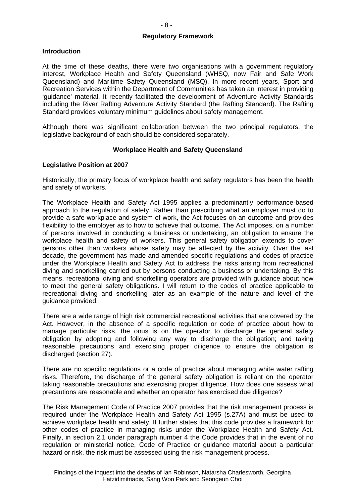#### **Introduction**

At the time of these deaths, there were two organisations with a government regulatory interest, Workplace Health and Safety Queensland (WHSQ, now Fair and Safe Work Queensland) and Maritime Safety Queensland (MSQ). In more recent years, Sport and Recreation Services within the Department of Communities has taken an interest in providing 'guidance' material. It recently facilitated the development of Adventure Activity Standards including the River Rafting Adventure Activity Standard (the Rafting Standard). The Rafting Standard provides voluntary minimum guidelines about safety management.

Although there was significant collaboration between the two principal regulators, the legislative background of each should be considered separately.

#### **Workplace Health and Safety Queensland**

#### **Legislative Position at 2007**

Historically, the primary focus of workplace health and safety regulators has been the health and safety of workers.

The Workplace Health and Safety Act 1995 applies a predominantly performance-based approach to the regulation of safety. Rather than prescribing what an employer must do to provide a safe workplace and system of work, the Act focuses on an outcome and provides flexibility to the employer as to how to achieve that outcome. The Act imposes, on a number of persons involved in conducting a business or undertaking, an obligation to ensure the workplace health and safety of workers. This general safety obligation extends to cover persons other than workers whose safety may be affected by the activity. Over the last decade, the government has made and amended specific regulations and codes of practice under the Workplace Health and Safety Act to address the risks arising from recreational diving and snorkelling carried out by persons conducting a business or undertaking. By this means, recreational diving and snorkelling operators are provided with guidance about how to meet the general safety obligations. I will return to the codes of practice applicable to recreational diving and snorkelling later as an example of the nature and level of the guidance provided.

There are a wide range of high risk commercial recreational activities that are covered by the Act. However, in the absence of a specific regulation or code of practice about how to manage particular risks, the onus is on the operator to discharge the general safety obligation by adopting and following any way to discharge the obligation; and taking reasonable precautions and exercising proper diligence to ensure the obligation is discharged (section 27).

There are no specific regulations or a code of practice about managing white water rafting risks. Therefore, the discharge of the general safety obligation is reliant on the operator taking reasonable precautions and exercising proper diligence. How does one assess what precautions are reasonable and whether an operator has exercised due diligence?

The Risk Management Code of Practice 2007 provides that the risk management process is required under the Workplace Health and Safety Act 1995 (s.27A) and must be used to achieve workplace health and safety. It further states that this code provides a framework for other codes of practice in managing risks under the Workplace Health and Safety Act. Finally, in section 2.1 under paragraph number 4 the Code provides that in the event of no regulation or ministerial notice, Code of Practice or guidance material about a particular hazard or risk, the risk must be assessed using the risk management process.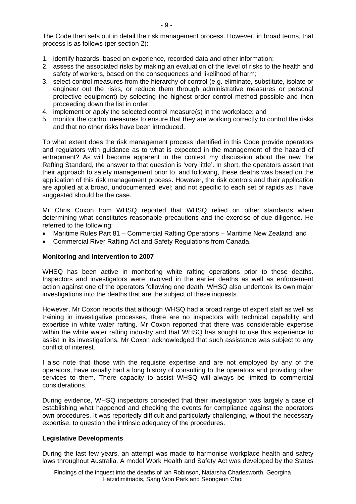- 1. identify hazards, based on experience, recorded data and other information;
- 2. assess the associated risks by making an evaluation of the level of risks to the health and safety of workers, based on the consequences and likelihood of harm;
- 3. select control measures from the hierarchy of control (e.g. eliminate, substitute, isolate or engineer out the risks, or reduce them through administrative measures or personal protective equipment) by selecting the highest order control method possible and then proceeding down the list in order;
- 4. implement or apply the selected control measure(s) in the workplace; and
- 5. monitor the control measures to ensure that they are working correctly to control the risks and that no other risks have been introduced.

To what extent does the risk management process identified in this Code provide operators and regulators with guidance as to what is expected in the management of the hazard of entrapment? As will become apparent in the context my discussion about the new the Rafting Standard, the answer to that question is 'very little'. In short, the operators assert that their approach to safety management prior to, and following, these deaths was based on the application of this risk management process. However, the risk controls and their application are applied at a broad, undocumented level; and not specific to each set of rapids as I have suggested should be the case.

Mr Chris Coxon from WHSQ reported that WHSQ relied on other standards when determining what constitutes reasonable precautions and the exercise of due diligence. He referred to the following:

- Maritime Rules Part 81 Commercial Rafting Operations Maritime New Zealand; and
- Commercial River Rafting Act and Safety Regulations from Canada.

## **Monitoring and Intervention to 2007**

WHSQ has been active in monitoring white rafting operations prior to these deaths. Inspectors and investigators were involved in the earlier deaths as well as enforcement action against one of the operators following one death. WHSQ also undertook its own major investigations into the deaths that are the subject of these inquests.

However, Mr Coxon reports that although WHSQ had a broad range of expert staff as well as training in investigative processes, there are no inspectors with technical capability and expertise in white water rafting. Mr Coxon reported that there was considerable expertise within the white water rafting industry and that WHSQ has sought to use this experience to assist in its investigations. Mr Coxon acknowledged that such assistance was subject to any conflict of interest.

I also note that those with the requisite expertise and are not employed by any of the operators, have usually had a long history of consulting to the operators and providing other services to them. There capacity to assist WHSQ will always be limited to commercial considerations.

During evidence, WHSQ inspectors conceded that their investigation was largely a case of establishing what happened and checking the events for compliance against the operators own procedures. It was reportedly difficult and particularly challenging, without the necessary expertise, to question the intrinsic adequacy of the procedures.

## **Legislative Developments**

During the last few years, an attempt was made to harmonise workplace health and safety laws throughout Australia. A model Work Health and Safety Act was developed by the States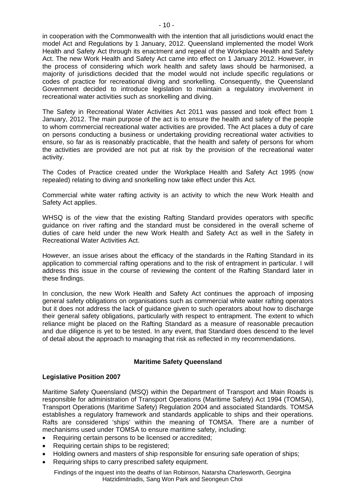in cooperation with the Commonwealth with the intention that all jurisdictions would enact the model Act and Regulations by 1 January, 2012. Queensland implemented the model Work Health and Safety Act through its enactment and repeal of the Workplace Health and Safety Act. The new Work Health and Safety Act came into effect on 1 January 2012. However, in the process of considering which work health and safety laws should be harmonised, a majority of jurisdictions decided that the model would not include specific regulations or codes of practice for recreational diving and snorkelling. Consequently, the Queensland Government decided to introduce legislation to maintain a regulatory involvement in recreational water activities such as snorkelling and diving.

The Safety in Recreational Water Activities Act 2011 was passed and took effect from 1 January, 2012. The main purpose of the act is to ensure the health and safety of the people to whom commercial recreational water activities are provided. The Act places a duty of care on persons conducting a business or undertaking providing recreational water activities to ensure, so far as is reasonably practicable, that the health and safety of persons for whom the activities are provided are not put at risk by the provision of the recreational water activity.

The Codes of Practice created under the Workplace Health and Safety Act 1995 (now repealed) relating to diving and snorkelling now take effect under this Act.

Commercial white water rafting activity is an activity to which the new Work Health and Safety Act applies.

WHSQ is of the view that the existing Rafting Standard provides operators with specific guidance on river rafting and the standard must be considered in the overall scheme of duties of care held under the new Work Health and Safety Act as well in the Safety in Recreational Water Activities Act.

However, an issue arises about the efficacy of the standards in the Rafting Standard in its application to commercial rafting operations and to the risk of entrapment in particular. I will address this issue in the course of reviewing the content of the Rafting Standard later in these findings.

In conclusion, the new Work Health and Safety Act continues the approach of imposing general safety obligations on organisations such as commercial white water rafting operators but it does not address the lack of guidance given to such operators about how to discharge their general safety obligations, particularly with respect to entrapment. The extent to which reliance might be placed on the Rafting Standard as a measure of reasonable precaution and due diligence is yet to be tested. In any event, that Standard does descend to the level of detail about the approach to managing that risk as reflected in my recommendations.

## **Maritime Safety Queensland**

#### **Legislative Position 2007**

Maritime Safety Queensland (MSQ) within the Department of Transport and Main Roads is responsible for administration of Transport Operations (Maritime Safety) Act 1994 (TOMSA), Transport Operations (Maritime Safety) Regulation 2004 and associated Standards. TOMSA establishes a regulatory framework and standards applicable to ships and their operations. Rafts are considered 'ships' within the meaning of TOMSA. There are a number of mechanisms used under TOMSA to ensure maritime safety, including:

- Requiring certain persons to be licensed or accredited;
- Requiring certain ships to be registered;
- Holding owners and masters of ship responsible for ensuring safe operation of ships;
- Requiring ships to carry prescribed safety equipment.

Findings of the inquest into the deaths of Ian Robinson, Natarsha Charlesworth, Georgina Hatzidimitriadis, Sang Won Park and Seongeun Choi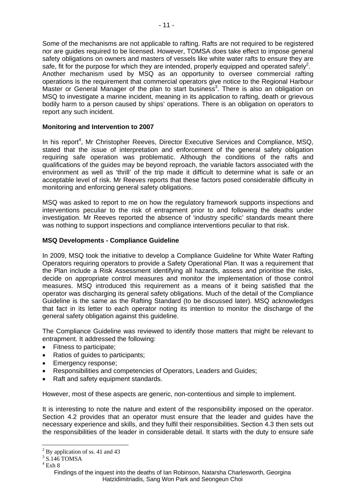Some of the mechanisms are not applicable to rafting. Rafts are not required to be registered nor are guides required to be licensed. However, TOMSA does take effect to impose general safety obligations on owners and masters of vessels like white water rafts to ensure they are safe, fit for the purpose for which they are intended, properly equipped and operated safely<sup>2</sup>. Another mechanism used by MSQ as an opportunity to oversee commercial rafting operations is the requirement that commercial operators give notice to the Regional Harbour Master or General Manager of the plan to start business<sup>3</sup>. There is also an obligation on MSQ to investigate a marine incident, meaning in its application to rafting, death or grievous bodily harm to a person caused by ships' operations. There is an obligation on operators to report any such incident.

## **Monitoring and Intervention to 2007**

In his report<sup>4</sup>, Mr Christopher Reeves, Director Executive Services and Compliance, MSQ, stated that the issue of interpretation and enforcement of the general safety obligation requiring safe operation was problematic. Although the conditions of the rafts and qualifications of the guides may be beyond reproach, the variable factors associated with the environment as well as 'thrill' of the trip made it difficult to determine what is safe or an acceptable level of risk. Mr Reeves reports that these factors posed considerable difficulty in monitoring and enforcing general safety obligations.

MSQ was asked to report to me on how the regulatory framework supports inspections and interventions peculiar to the risk of entrapment prior to and following the deaths under investigation. Mr Reeves reported the absence of 'industry specific' standards meant there was nothing to support inspections and compliance interventions peculiar to that risk.

## **MSQ Developments - Compliance Guideline**

In 2009, MSQ took the initiative to develop a Compliance Guideline for White Water Rafting Operators requiring operators to provide a Safety Operational Plan. It was a requirement that the Plan include a Risk Assessment identifying all hazards, assess and prioritise the risks, decide on appropriate control measures and monitor the implementation of those control measures. MSQ introduced this requirement as a means of it being satisfied that the operator was discharging its general safety obligations. Much of the detail of the Compliance Guideline is the same as the Rafting Standard (to be discussed later). MSQ acknowledges that fact in its letter to each operator noting its intention to monitor the discharge of the general safety obligation against this guideline.

The Compliance Guideline was reviewed to identify those matters that might be relevant to entrapment. It addressed the following:

- Fitness to participate;
- Ratios of guides to participants;
- Emergency response;
- Responsibilities and competencies of Operators, Leaders and Guides;
- Raft and safety equipment standards.

However, most of these aspects are generic, non-contentious and simple to implement.

It is interesting to note the nature and extent of the responsibility imposed on the operator. Section 4.2 provides that an operator must ensure that the leader and guides have the necessary experience and skills, and they fulfil their responsibilities. Section 4.3 then sets out the responsibilities of the leader in considerable detail. It starts with the duty to ensure safe

1

<sup>&</sup>lt;sup>2</sup> By application of ss. 41 and 43

<sup>3</sup> S.146 TOMSA

 $4$  Exh  $8$ 

Findings of the inquest into the deaths of Ian Robinson, Natarsha Charlesworth, Georgina Hatzidimitriadis, Sang Won Park and Seongeun Choi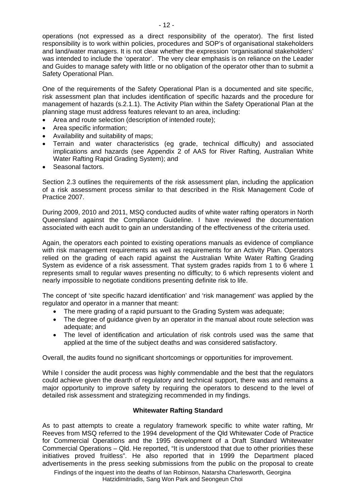operations (not expressed as a direct responsibility of the operator). The first listed responsibility is to work within policies, procedures and SOP's of organisational stakeholders and land/water managers. It is not clear whether the expression 'organisational stakeholders' was intended to include the 'operator'. The very clear emphasis is on reliance on the Leader and Guides to manage safety with little or no obligation of the operator other than to submit a Safety Operational Plan.

One of the requirements of the Safety Operational Plan is a documented and site specific, risk assessment plan that includes identification of specific hazards and the procedure for management of hazards (s.2.1.1). The Activity Plan within the Safety Operational Plan at the planning stage must address features relevant to an area, including:

- Area and route selection (description of intended route);
- Area specific information;
- Availability and suitability of maps;
- Terrain and water characteristics (eg grade, technical difficulty) and associated implications and hazards (see Appendix 2 of AAS for River Rafting, Australian White Water Rafting Rapid Grading System); and
- Seasonal factors.

Section 2.3 outlines the requirements of the risk assessment plan, including the application of a risk assessment process similar to that described in the Risk Management Code of Practice 2007.

During 2009, 2010 and 2011, MSQ conducted audits of white water rafting operators in North Queensland against the Compliance Guideline. I have reviewed the documentation associated with each audit to gain an understanding of the effectiveness of the criteria used.

Again, the operators each pointed to existing operations manuals as evidence of compliance with risk management requirements as well as requirements for an Activity Plan. Operators relied on the grading of each rapid against the Australian White Water Rafting Grading System as evidence of a risk assessment. That system grades rapids from 1 to 6 where 1 represents small to regular waves presenting no difficulty; to 6 which represents violent and nearly impossible to negotiate conditions presenting definite risk to life.

The concept of 'site specific hazard identification' and 'risk management' was applied by the regulator and operator in a manner that meant:

- The mere grading of a rapid pursuant to the Grading System was adequate;
- The degree of guidance given by an operator in the manual about route selection was adequate; and
- The level of identification and articulation of risk controls used was the same that applied at the time of the subject deaths and was considered satisfactory.

Overall, the audits found no significant shortcomings or opportunities for improvement.

While I consider the audit process was highly commendable and the best that the regulators could achieve given the dearth of regulatory and technical support, there was and remains a major opportunity to improve safety by requiring the operators to descend to the level of detailed risk assessment and strategizing recommended in my findings.

## **Whitewater Rafting Standard**

As to past attempts to create a regulatory framework specific to white water rafting, Mr Reeves from MSQ referred to the 1994 development of the Qld Whitewater Code of Practice for Commercial Operations and the 1995 development of a Draft Standard Whitewater Commercial Operations – Qld. He reported, "It is understood that due to other priorities these initiatives proved fruitless". He also reported that in 1999 the Department placed advertisements in the press seeking submissions from the public on the proposal to create

Findings of the inquest into the deaths of Ian Robinson, Natarsha Charlesworth, Georgina Hatzidimitriadis, Sang Won Park and Seongeun Choi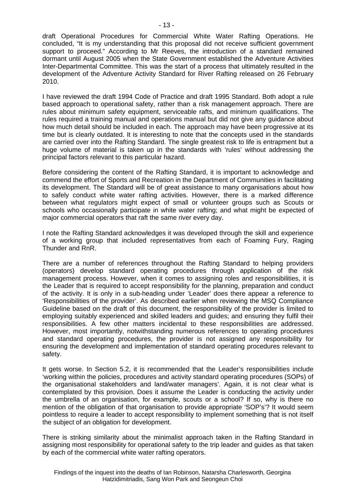draft Operational Procedures for Commercial White Water Rafting Operations. He concluded, "It is my understanding that this proposal did not receive sufficient government support to proceed." According to Mr Reeves, the introduction of a standard remained dormant until August 2005 when the State Government established the Adventure Activities Inter-Departmental Committee. This was the start of a process that ultimately resulted in the development of the Adventure Activity Standard for River Rafting released on 26 February 2010.

I have reviewed the draft 1994 Code of Practice and draft 1995 Standard. Both adopt a rule based approach to operational safety, rather than a risk management approach. There are rules about minimum safety equipment, serviceable rafts, and minimum qualifications. The rules required a training manual and operations manual but did not give any guidance about how much detail should be included in each. The approach may have been progressive at its time but is clearly outdated. It is interesting to note that the concepts used in the standards are carried over into the Rafting Standard. The single greatest risk to life is entrapment but a huge volume of material is taken up in the standards with 'rules' without addressing the principal factors relevant to this particular hazard.

Before considering the content of the Rafting Standard, it is important to acknowledge and commend the effort of Sports and Recreation in the Department of Communities in facilitating its development. The Standard will be of great assistance to many organisations about how to safely conduct white water rafting activities. However, there is a marked difference between what regulators might expect of small or volunteer groups such as Scouts or schools who occasionally participate in white water rafting; and what might be expected of major commercial operators that raft the same river every day.

I note the Rafting Standard acknowledges it was developed through the skill and experience of a working group that included representatives from each of Foaming Fury, Raging Thunder and RnR.

There are a number of references throughout the Rafting Standard to helping providers (operators) develop standard operating procedures through application of the risk management process. However, when it comes to assigning roles and responsibilities, it is the Leader that is required to accept responsibility for the planning, preparation and conduct of the activity. It is only in a sub-heading under 'Leader' does there appear a reference to 'Responsibilities of the provider'. As described earlier when reviewing the MSQ Compliance Guideline based on the draft of this document, the responsibility of the provider is limited to employing suitably experienced and skilled leaders and guides; and ensuring they fulfil their responsibilities. A few other matters incidental to these responsibilities are addressed. However, most importantly, notwithstanding numerous references to operating procedures and standard operating procedures, the provider is not assigned any responsibility for ensuring the development and implementation of standard operating procedures relevant to safety.

It gets worse. In Section 5.2, it is recommended that the Leader's responsibilities include 'working within the policies, procedures and activity standard operating procedures (SOPs) of the organisational stakeholders and land/water managers'. Again, it is not clear what is contemplated by this provision. Does it assume the Leader is conducting the activity under the umbrella of an organisation, for example, scouts or a school? If so, why is there no mention of the obligation of that organisation to provide appropriate 'SOP's'? It would seem pointless to require a leader to accept responsibility to implement something that is not itself the subject of an obligation for development.

There is striking similarity about the minimalist approach taken in the Rafting Standard in assigning most responsibility for operational safety to the trip leader and guides as that taken by each of the commercial white water rafting operators.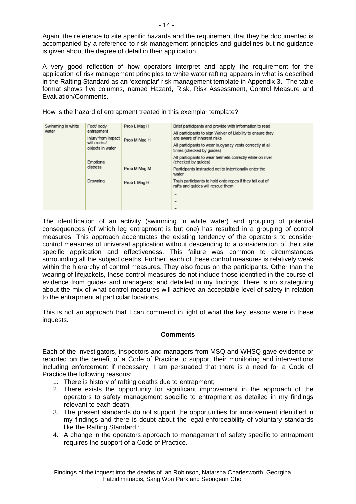Again, the reference to site specific hazards and the requirement that they be documented is accompanied by a reference to risk management principles and guidelines but no guidance is given about the degree of detail in their application.

A very good reflection of how operators interpret and apply the requirement for the application of risk management principles to white water rafting appears in what is described in the Rafting Standard as an 'exemplar' risk management template in Appendix 3. The table format shows five columns, named Hazard, Risk, Risk Assessment, Control Measure and Evaluation/Comments.

How is the hazard of entrapment treated in this exemplar template?

| Swimming in white<br>water | Foot/ body                                            | Prob L Mag H<br>Prob M Mag H | Brief participants and provide with information to read                                        |  |
|----------------------------|-------------------------------------------------------|------------------------------|------------------------------------------------------------------------------------------------|--|
|                            | entrapment                                            |                              | All participants to sign Waiver of Liability to ensure they                                    |  |
|                            | Injury from impact<br>with rocks/<br>objects in water |                              | are aware of inherent risks                                                                    |  |
|                            |                                                       |                              | All participants to wear buoyancy vests correctly at all<br>times (checked by quides)          |  |
|                            | Emotional<br>distress                                 |                              | All participants to wear helmets correctly while on river<br>(checked by guides)               |  |
|                            |                                                       | Prob M Mag M                 | Participants instructed not to intentionally enter the<br>water                                |  |
|                            | Drowning                                              | Prob L Mag H                 | Train participants to hold onto ropes if they fall out of<br>rafts and quides will rescue them |  |
|                            |                                                       |                              | <b>COLLECT</b>                                                                                 |  |
|                            |                                                       |                              | $-$                                                                                            |  |
|                            |                                                       |                              |                                                                                                |  |

The identification of an activity (swimming in white water) and grouping of potential consequences (of which leg entrapment is but one) has resulted in a grouping of control measures. This approach accentuates the existing tendency of the operators to consider control measures of universal application without descending to a consideration of their site specific application and effectiveness. This failure was common to circumstances surrounding all the subject deaths. Further, each of these control measures is relatively weak within the hierarchy of control measures. They also focus on the participants. Other than the wearing of lifejackets, these control measures do not include those identified in the course of evidence from guides and managers; and detailed in my findings. There is no strategizing about the mix of what control measures will achieve an acceptable level of safety in relation to the entrapment at particular locations.

This is not an approach that I can commend in light of what the key lessons were in these inquests.

## **Comments**

Each of the investigators, inspectors and managers from MSQ and WHSQ gave evidence or reported on the benefit of a Code of Practice to support their monitoring and interventions including enforcement if necessary. I am persuaded that there is a need for a Code of Practice the following reasons:

- 1. There is history of rafting deaths due to entrapment;
- 2. There exists the opportunity for significant improvement in the approach of the operators to safety management specific to entrapment as detailed in my findings relevant to each death;
- 3. The present standards do not support the opportunities for improvement identified in my findings and there is doubt about the legal enforceability of voluntary standards like the Rafting Standard.;
- 4. A change in the operators approach to management of safety specific to entrapment requires the support of a Code of Practice.